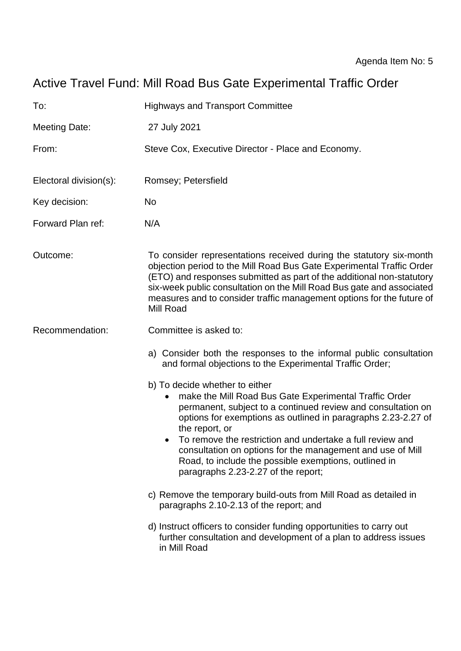# Active Travel Fund: Mill Road Bus Gate Experimental Traffic Order

| To:                    | <b>Highways and Transport Committee</b>                                                                                                                                                                                                                                                                                                                                                                                                                                |
|------------------------|------------------------------------------------------------------------------------------------------------------------------------------------------------------------------------------------------------------------------------------------------------------------------------------------------------------------------------------------------------------------------------------------------------------------------------------------------------------------|
| Meeting Date:          | 27 July 2021                                                                                                                                                                                                                                                                                                                                                                                                                                                           |
| From:                  | Steve Cox, Executive Director - Place and Economy.                                                                                                                                                                                                                                                                                                                                                                                                                     |
| Electoral division(s): | Romsey; Petersfield                                                                                                                                                                                                                                                                                                                                                                                                                                                    |
| Key decision:          | <b>No</b>                                                                                                                                                                                                                                                                                                                                                                                                                                                              |
| Forward Plan ref:      | N/A                                                                                                                                                                                                                                                                                                                                                                                                                                                                    |
| Outcome:               | To consider representations received during the statutory six-month<br>objection period to the Mill Road Bus Gate Experimental Traffic Order<br>(ETO) and responses submitted as part of the additional non-statutory<br>six-week public consultation on the Mill Road Bus gate and associated<br>measures and to consider traffic management options for the future of<br>Mill Road                                                                                   |
| Recommendation:        | Committee is asked to:                                                                                                                                                                                                                                                                                                                                                                                                                                                 |
|                        | a) Consider both the responses to the informal public consultation<br>and formal objections to the Experimental Traffic Order;                                                                                                                                                                                                                                                                                                                                         |
|                        | b) To decide whether to either<br>make the Mill Road Bus Gate Experimental Traffic Order<br>permanent, subject to a continued review and consultation on<br>options for exemptions as outlined in paragraphs 2.23-2.27 of<br>the report, or<br>To remove the restriction and undertake a full review and<br>consultation on options for the management and use of Mill<br>Road, to include the possible exemptions, outlined in<br>paragraphs 2.23-2.27 of the report; |
|                        | c) Remove the temporary build-outs from Mill Road as detailed in<br>paragraphs 2.10-2.13 of the report; and                                                                                                                                                                                                                                                                                                                                                            |
|                        | d) Instruct officers to consider funding opportunities to carry out<br>further consultation and development of a plan to address issues<br>in Mill Road                                                                                                                                                                                                                                                                                                                |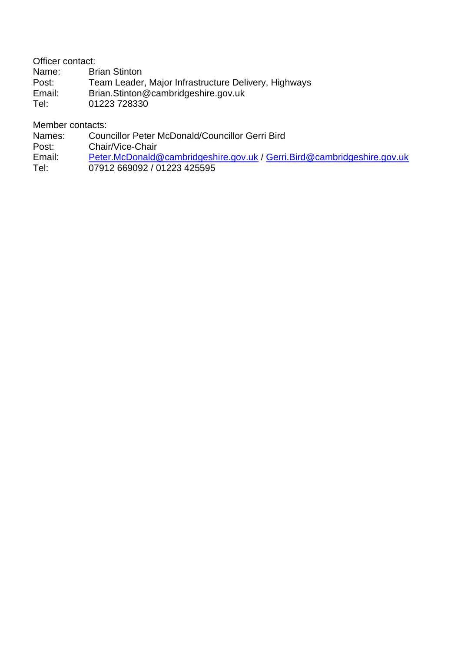Officer contact:

Name: Brian Stinton<br>Post: Team Leader

Post: Team Leader, Major Infrastructure Delivery, Highways<br>
Email: Brian.Stinton@cambridgeshire.gov.uk

Brian.Stinton@cambridgeshire.gov.uk

Tel: 01223 728330

Member contacts:

Names: Councillor Peter McDonald/Councillor Gerri Bird

Post: Chair/Vice-Chair

Email: [Peter.McDonald@cambridgeshire.gov.uk](mailto:Peter.McDonald@cambridgeshire.gov.uk) / [Gerri.Bird@cambridgeshire.gov.uk](mailto:Gerri.Bird@cambridgeshire.gov.uk)

Tel: 07912 669092 / 01223 425595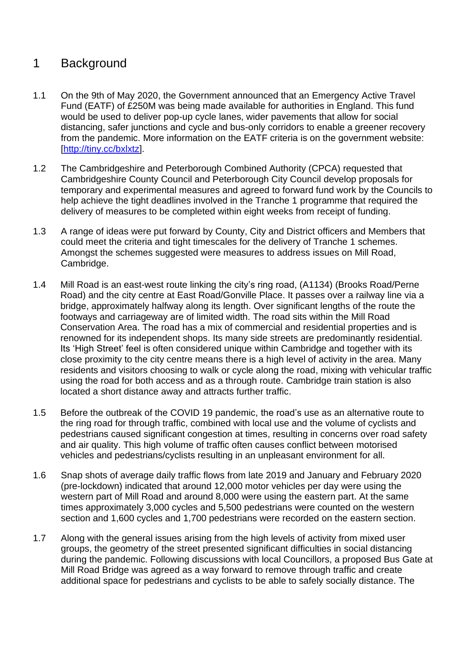# 1 Background

- 1.1 On the 9th of May 2020, the Government announced that an Emergency Active Travel Fund (EATF) of £250M was being made available for authorities in England. This fund would be used to deliver pop-up cycle lanes, wider pavements that allow for social distancing, safer junctions and cycle and bus-only corridors to enable a greener recovery from the pandemic. More information on the EATF criteria is on the government website: [\[http://tiny.cc/bxlxtz\]](http://tiny.cc/bxlxtz).
- 1.2 The Cambridgeshire and Peterborough Combined Authority (CPCA) requested that Cambridgeshire County Council and Peterborough City Council develop proposals for temporary and experimental measures and agreed to forward fund work by the Councils to help achieve the tight deadlines involved in the Tranche 1 programme that required the delivery of measures to be completed within eight weeks from receipt of funding.
- 1.3 A range of ideas were put forward by County, City and District officers and Members that could meet the criteria and tight timescales for the delivery of Tranche 1 schemes. Amongst the schemes suggested were measures to address issues on Mill Road, Cambridge.
- 1.4 Mill Road is an east-west route linking the city's ring road, (A1134) (Brooks Road/Perne Road) and the city centre at East Road/Gonville Place. It passes over a railway line via a bridge, approximately halfway along its length. Over significant lengths of the route the footways and carriageway are of limited width. The road sits within the Mill Road Conservation Area. The road has a mix of commercial and residential properties and is renowned for its independent shops. Its many side streets are predominantly residential. Its 'High Street' feel is often considered unique within Cambridge and together with its close proximity to the city centre means there is a high level of activity in the area. Many residents and visitors choosing to walk or cycle along the road, mixing with vehicular traffic using the road for both access and as a through route. Cambridge train station is also located a short distance away and attracts further traffic.
- 1.5 Before the outbreak of the COVID 19 pandemic, the road's use as an alternative route to the ring road for through traffic, combined with local use and the volume of cyclists and pedestrians caused significant congestion at times, resulting in concerns over road safety and air quality. This high volume of traffic often causes conflict between motorised vehicles and pedestrians/cyclists resulting in an unpleasant environment for all.
- 1.6 Snap shots of average daily traffic flows from late 2019 and January and February 2020 (pre-lockdown) indicated that around 12,000 motor vehicles per day were using the western part of Mill Road and around 8,000 were using the eastern part. At the same times approximately 3,000 cycles and 5,500 pedestrians were counted on the western section and 1,600 cycles and 1,700 pedestrians were recorded on the eastern section.
- 1.7 Along with the general issues arising from the high levels of activity from mixed user groups, the geometry of the street presented significant difficulties in social distancing during the pandemic. Following discussions with local Councillors, a proposed Bus Gate at Mill Road Bridge was agreed as a way forward to remove through traffic and create additional space for pedestrians and cyclists to be able to safely socially distance. The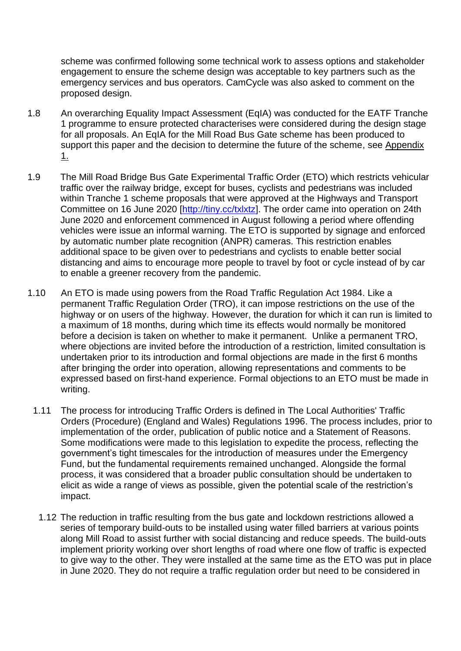scheme was confirmed following some technical work to assess options and stakeholder engagement to ensure the scheme design was acceptable to key partners such as the emergency services and bus operators. CamCycle was also asked to comment on the proposed design.

- 1.8 An overarching Equality Impact Assessment (EqIA) was conducted for the EATF Tranche 1 programme to ensure protected characterises were considered during the design stage for all proposals. An EqIA for the Mill Road Bus Gate scheme has been produced to support this paper and the decision to determine the future of the scheme, see Appendix 1.
- 1.9 The Mill Road Bridge Bus Gate Experimental Traffic Order (ETO) which restricts vehicular traffic over the railway bridge, except for buses, cyclists and pedestrians was included within Tranche 1 scheme proposals that were approved at the Highways and Transport Committee on 16 June 2020 [\[http://tiny.cc/txlxtz\]](http://tiny.cc/txlxtz). The order came into operation on 24th June 2020 and enforcement commenced in August following a period where offending vehicles were issue an informal warning. The ETO is supported by signage and enforced by automatic number plate recognition (ANPR) cameras. This restriction enables additional space to be given over to pedestrians and cyclists to enable better social distancing and aims to encourage more people to travel by foot or cycle instead of by car to enable a greener recovery from the pandemic.
- 1.10 An ETO is made using powers from the Road Traffic Regulation Act 1984. Like a permanent Traffic Regulation Order (TRO), it can impose restrictions on the use of the highway or on users of the highway. However, the duration for which it can run is limited to a maximum of 18 months, during which time its effects would normally be monitored before a decision is taken on whether to make it permanent. Unlike a permanent TRO, where objections are invited before the introduction of a restriction, limited consultation is undertaken prior to its introduction and formal objections are made in the first 6 months after bringing the order into operation, allowing representations and comments to be expressed based on first-hand experience. Formal objections to an ETO must be made in writing.
	- 1.11 The process for introducing Traffic Orders is defined in The Local Authorities' Traffic Orders (Procedure) (England and Wales) Regulations 1996. The process includes, prior to implementation of the order, publication of public notice and a Statement of Reasons. Some modifications were made to this legislation to expedite the process, reflecting the government's tight timescales for the introduction of measures under the Emergency Fund, but the fundamental requirements remained unchanged. Alongside the formal process, it was considered that a broader public consultation should be undertaken to elicit as wide a range of views as possible, given the potential scale of the restriction's impact.
		- 1.12 The reduction in traffic resulting from the bus gate and lockdown restrictions allowed a series of temporary build-outs to be installed using water filled barriers at various points along Mill Road to assist further with social distancing and reduce speeds. The build-outs implement priority working over short lengths of road where one flow of traffic is expected to give way to the other. They were installed at the same time as the ETO was put in place in June 2020. They do not require a traffic regulation order but need to be considered in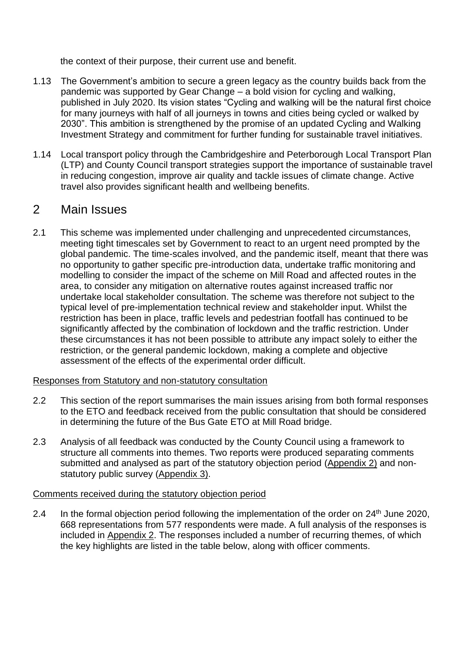the context of their purpose, their current use and benefit.

- 1.13 The Government's ambition to secure a green legacy as the country builds back from the pandemic was supported by Gear Change – a bold vision for cycling and walking, published in July 2020. Its vision states "Cycling and walking will be the natural first choice for many journeys with half of all journeys in towns and cities being cycled or walked by 2030". This ambition is strengthened by the promise of an updated Cycling and Walking Investment Strategy and commitment for further funding for sustainable travel initiatives.
- 1.14 Local transport policy through the Cambridgeshire and Peterborough Local Transport Plan (LTP) and County Council transport strategies support the importance of sustainable travel in reducing congestion, improve air quality and tackle issues of climate change. Active travel also provides significant health and wellbeing benefits.

### 2 Main Issues

2.1 This scheme was implemented under challenging and unprecedented circumstances, meeting tight timescales set by Government to react to an urgent need prompted by the global pandemic. The time-scales involved, and the pandemic itself, meant that there was no opportunity to gather specific pre-introduction data, undertake traffic monitoring and modelling to consider the impact of the scheme on Mill Road and affected routes in the area, to consider any mitigation on alternative routes against increased traffic nor undertake local stakeholder consultation. The scheme was therefore not subject to the typical level of pre-implementation technical review and stakeholder input. Whilst the restriction has been in place, traffic levels and pedestrian footfall has continued to be significantly affected by the combination of lockdown and the traffic restriction. Under these circumstances it has not been possible to attribute any impact solely to either the restriction, or the general pandemic lockdown, making a complete and objective assessment of the effects of the experimental order difficult.

#### Responses from Statutory and non-statutory consultation

- 2.2 This section of the report summarises the main issues arising from both formal responses to the ETO and feedback received from the public consultation that should be considered in determining the future of the Bus Gate ETO at Mill Road bridge.
- 2.3 Analysis of all feedback was conducted by the County Council using a framework to structure all comments into themes. Two reports were produced separating comments submitted and analysed as part of the statutory objection period (Appendix 2) and nonstatutory public survey (Appendix 3).

#### Comments received during the statutory objection period

2.4 In the formal objection period following the implementation of the order on 24<sup>th</sup> June 2020. 668 representations from 577 respondents were made. A full analysis of the responses is included in Appendix 2. The responses included a number of recurring themes, of which the key highlights are listed in the table below, along with officer comments.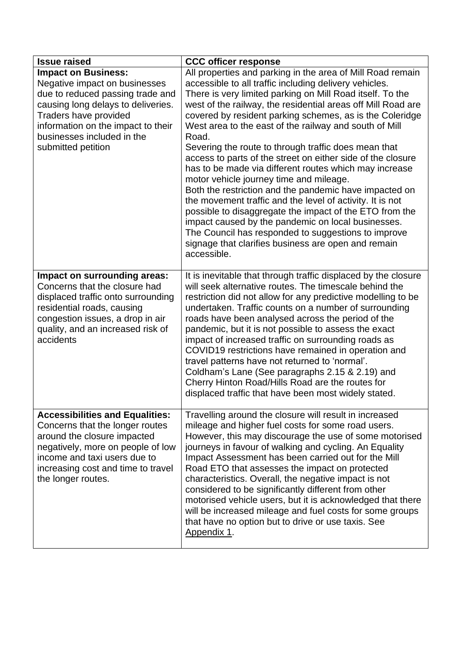| <b>Issue raised</b>                                                                                                                                                                                                                                      | <b>CCC officer response</b>                                                                                                                                                                                                                                                                                                                                                                                                                                                                                                                                                                                                                                                                                                                                                                                                                                                                                                                                                       |
|----------------------------------------------------------------------------------------------------------------------------------------------------------------------------------------------------------------------------------------------------------|-----------------------------------------------------------------------------------------------------------------------------------------------------------------------------------------------------------------------------------------------------------------------------------------------------------------------------------------------------------------------------------------------------------------------------------------------------------------------------------------------------------------------------------------------------------------------------------------------------------------------------------------------------------------------------------------------------------------------------------------------------------------------------------------------------------------------------------------------------------------------------------------------------------------------------------------------------------------------------------|
| <b>Impact on Business:</b><br>Negative impact on businesses<br>due to reduced passing trade and<br>causing long delays to deliveries.<br>Traders have provided<br>information on the impact to their<br>businesses included in the<br>submitted petition | All properties and parking in the area of Mill Road remain<br>accessible to all traffic including delivery vehicles.<br>There is very limited parking on Mill Road itself. To the<br>west of the railway, the residential areas off Mill Road are<br>covered by resident parking schemes, as is the Coleridge<br>West area to the east of the railway and south of Mill<br>Road.<br>Severing the route to through traffic does mean that<br>access to parts of the street on either side of the closure<br>has to be made via different routes which may increase<br>motor vehicle journey time and mileage.<br>Both the restriction and the pandemic have impacted on<br>the movement traffic and the level of activity. It is not<br>possible to disaggregate the impact of the ETO from the<br>impact caused by the pandemic on local businesses.<br>The Council has responded to suggestions to improve<br>signage that clarifies business are open and remain<br>accessible. |
| Impact on surrounding areas:<br>Concerns that the closure had<br>displaced traffic onto surrounding<br>residential roads, causing<br>congestion issues, a drop in air<br>quality, and an increased risk of<br>accidents                                  | It is inevitable that through traffic displaced by the closure<br>will seek alternative routes. The timescale behind the<br>restriction did not allow for any predictive modelling to be<br>undertaken. Traffic counts on a number of surrounding<br>roads have been analysed across the period of the<br>pandemic, but it is not possible to assess the exact<br>impact of increased traffic on surrounding roads as<br>COVID19 restrictions have remained in operation and<br>travel patterns have not returned to 'normal'.<br>Coldham's Lane (See paragraphs 2.15 & 2.19) and<br>Cherry Hinton Road/Hills Road are the routes for<br>displaced traffic that have been most widely stated.                                                                                                                                                                                                                                                                                     |
| <b>Accessibilities and Equalities:</b><br>Concerns that the longer routes<br>around the closure impacted<br>negatively, more on people of low<br>income and taxi users due to<br>increasing cost and time to travel<br>the longer routes.                | Travelling around the closure will result in increased<br>mileage and higher fuel costs for some road users.<br>However, this may discourage the use of some motorised<br>journeys in favour of walking and cycling. An Equality<br>Impact Assessment has been carried out for the Mill<br>Road ETO that assesses the impact on protected<br>characteristics. Overall, the negative impact is not<br>considered to be significantly different from other<br>motorised vehicle users, but it is acknowledged that there<br>will be increased mileage and fuel costs for some groups<br>that have no option but to drive or use taxis. See<br>Appendix 1.                                                                                                                                                                                                                                                                                                                           |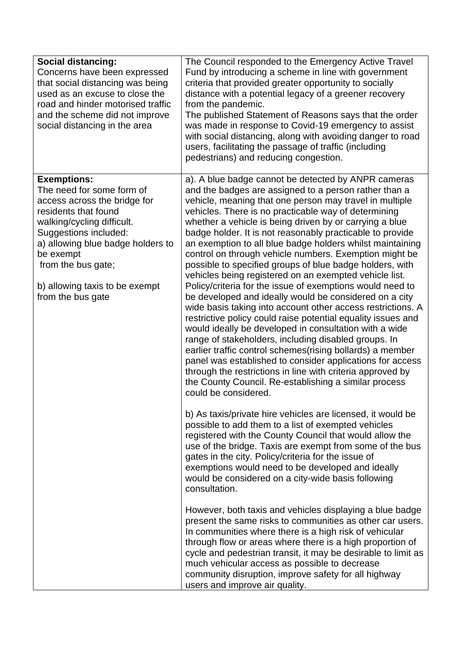| <b>Social distancing:</b><br>Concerns have been expressed<br>that social distancing was being<br>used as an excuse to close the<br>road and hinder motorised traffic<br>and the scheme did not improve<br>social distancing in the area                                                       | The Council responded to the Emergency Active Travel<br>Fund by introducing a scheme in line with government<br>criteria that provided greater opportunity to socially<br>distance with a potential legacy of a greener recovery<br>from the pandemic.<br>The published Statement of Reasons says that the order<br>was made in response to Covid-19 emergency to assist<br>with social distancing, along with avoiding danger to road<br>users, facilitating the passage of traffic (including<br>pedestrians) and reducing congestion.                                                                                                                                                                                                                                                                                                                                                                                                                                                                                                                                                                                                                                                                                                               |
|-----------------------------------------------------------------------------------------------------------------------------------------------------------------------------------------------------------------------------------------------------------------------------------------------|--------------------------------------------------------------------------------------------------------------------------------------------------------------------------------------------------------------------------------------------------------------------------------------------------------------------------------------------------------------------------------------------------------------------------------------------------------------------------------------------------------------------------------------------------------------------------------------------------------------------------------------------------------------------------------------------------------------------------------------------------------------------------------------------------------------------------------------------------------------------------------------------------------------------------------------------------------------------------------------------------------------------------------------------------------------------------------------------------------------------------------------------------------------------------------------------------------------------------------------------------------|
| <b>Exemptions:</b><br>The need for some form of<br>access across the bridge for<br>residents that found<br>walking/cycling difficult.<br>Suggestions included:<br>a) allowing blue badge holders to<br>be exempt<br>from the bus gate;<br>b) allowing taxis to be exempt<br>from the bus gate | a). A blue badge cannot be detected by ANPR cameras<br>and the badges are assigned to a person rather than a<br>vehicle, meaning that one person may travel in multiple<br>vehicles. There is no practicable way of determining<br>whether a vehicle is being driven by or carrying a blue<br>badge holder. It is not reasonably practicable to provide<br>an exemption to all blue badge holders whilst maintaining<br>control on through vehicle numbers. Exemption might be<br>possible to specified groups of blue badge holders, with<br>vehicles being registered on an exempted vehicle list.<br>Policy/criteria for the issue of exemptions would need to<br>be developed and ideally would be considered on a city<br>wide basis taking into account other access restrictions. A<br>restrictive policy could raise potential equality issues and<br>would ideally be developed in consultation with a wide<br>range of stakeholders, including disabled groups. In<br>earlier traffic control schemes (rising bollards) a member<br>panel was established to consider applications for access<br>through the restrictions in line with criteria approved by<br>the County Council. Re-establishing a similar process<br>could be considered. |
|                                                                                                                                                                                                                                                                                               | b) As taxis/private hire vehicles are licensed, it would be<br>possible to add them to a list of exempted vehicles<br>registered with the County Council that would allow the<br>use of the bridge. Taxis are exempt from some of the bus<br>gates in the city. Policy/criteria for the issue of<br>exemptions would need to be developed and ideally<br>would be considered on a city-wide basis following<br>consultation.                                                                                                                                                                                                                                                                                                                                                                                                                                                                                                                                                                                                                                                                                                                                                                                                                           |
|                                                                                                                                                                                                                                                                                               | However, both taxis and vehicles displaying a blue badge<br>present the same risks to communities as other car users.<br>In communities where there is a high risk of vehicular<br>through flow or areas where there is a high proportion of<br>cycle and pedestrian transit, it may be desirable to limit as<br>much vehicular access as possible to decrease<br>community disruption, improve safety for all highway<br>users and improve air quality.                                                                                                                                                                                                                                                                                                                                                                                                                                                                                                                                                                                                                                                                                                                                                                                               |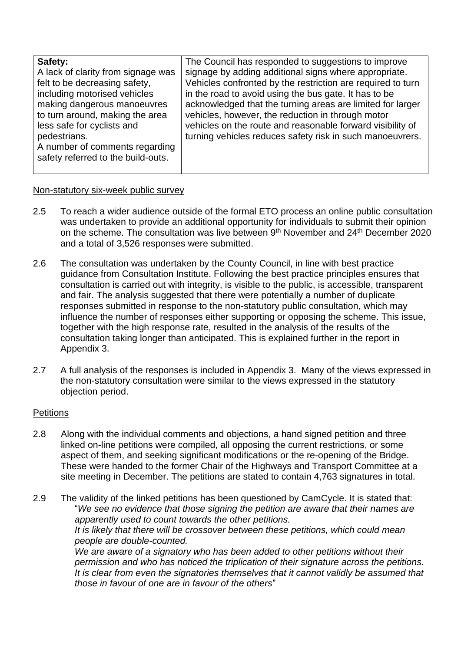| Safety:                            | The Council has responded to suggestions to improve         |
|------------------------------------|-------------------------------------------------------------|
| A lack of clarity from signage was | signage by adding additional signs where appropriate.       |
| felt to be decreasing safety,      | Vehicles confronted by the restriction are required to turn |
| including motorised vehicles       | in the road to avoid using the bus gate. It has to be       |
| making dangerous manoeuvres        | acknowledged that the turning areas are limited for larger  |
| to turn around, making the area    | vehicles, however, the reduction in through motor           |
| less safe for cyclists and         | vehicles on the route and reasonable forward visibility of  |
| pedestrians.                       | turning vehicles reduces safety risk in such manoeuvrers.   |
| A number of comments regarding     |                                                             |
| safety referred to the build-outs. |                                                             |
|                                    |                                                             |

#### Non-statutory six-week public survey

- 2.5 To reach a wider audience outside of the formal ETO process an online public consultation was undertaken to provide an additional opportunity for individuals to submit their opinion on the scheme. The consultation was live between 9<sup>th</sup> November and 24<sup>th</sup> December 2020 and a total of 3,526 responses were submitted.
- 2.6 The consultation was undertaken by the County Council, in line with best practice guidance from Consultation Institute. Following the best practice principles ensures that consultation is carried out with integrity, is visible to the public, is accessible, transparent and fair. The analysis suggested that there were potentially a number of duplicate responses submitted in response to the non-statutory public consultation, which may influence the number of responses either supporting or opposing the scheme. This issue, together with the high response rate, resulted in the analysis of the results of the consultation taking longer than anticipated. This is explained further in the report in Appendix 3.
- 2.7 A full analysis of the responses is included in Appendix 3. Many of the views expressed in the non-statutory consultation were similar to the views expressed in the statutory objection period.

#### **Petitions**

2.8 Along with the individual comments and objections, a hand signed petition and three linked on-line petitions were compiled, all opposing the current restrictions, or some aspect of them, and seeking significant modifications or the re-opening of the Bridge. These were handed to the former Chair of the Highways and Transport Committee at a site meeting in December. The petitions are stated to contain 4,763 signatures in total.

2.9 The validity of the linked petitions has been questioned by CamCycle. It is stated that: "*We see no evidence that those signing the petition are aware that their names are apparently used to count towards the other petitions. It is likely that there will be crossover between these petitions, which could mean people are double-counted. We are aware of a signatory who has been added to other petitions without their permission and who has noticed the triplication of their signature across the petitions. It is clear from even the signatories themselves that it cannot validly be assumed that those in favour of one are in favour of the others*"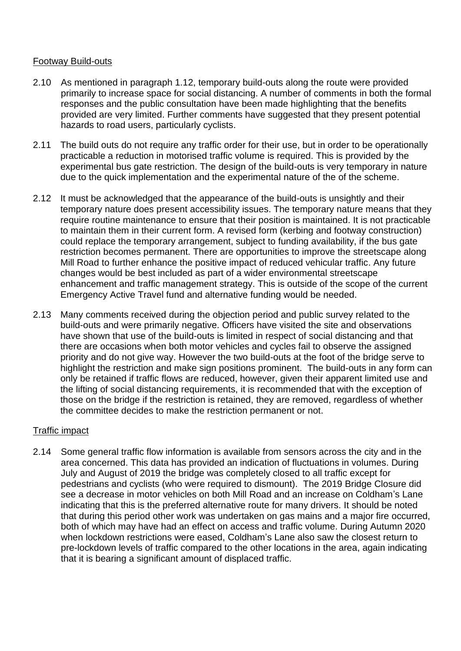#### Footway Build-outs

- 2.10 As mentioned in paragraph 1.12, temporary build-outs along the route were provided primarily to increase space for social distancing. A number of comments in both the formal responses and the public consultation have been made highlighting that the benefits provided are very limited. Further comments have suggested that they present potential hazards to road users, particularly cyclists.
- 2.11 The build outs do not require any traffic order for their use, but in order to be operationally practicable a reduction in motorised traffic volume is required. This is provided by the experimental bus gate restriction. The design of the build-outs is very temporary in nature due to the quick implementation and the experimental nature of the of the scheme.
- 2.12 It must be acknowledged that the appearance of the build-outs is unsightly and their temporary nature does present accessibility issues. The temporary nature means that they require routine maintenance to ensure that their position is maintained. It is not practicable to maintain them in their current form. A revised form (kerbing and footway construction) could replace the temporary arrangement, subject to funding availability, if the bus gate restriction becomes permanent. There are opportunities to improve the streetscape along Mill Road to further enhance the positive impact of reduced vehicular traffic. Any future changes would be best included as part of a wider environmental streetscape enhancement and traffic management strategy. This is outside of the scope of the current Emergency Active Travel fund and alternative funding would be needed.
- 2.13 Many comments received during the objection period and public survey related to the build-outs and were primarily negative. Officers have visited the site and observations have shown that use of the build-outs is limited in respect of social distancing and that there are occasions when both motor vehicles and cycles fail to observe the assigned priority and do not give way. However the two build-outs at the foot of the bridge serve to highlight the restriction and make sign positions prominent. The build-outs in any form can only be retained if traffic flows are reduced, however, given their apparent limited use and the lifting of social distancing requirements, it is recommended that with the exception of those on the bridge if the restriction is retained, they are removed, regardless of whether the committee decides to make the restriction permanent or not.

#### Traffic impact

2.14 Some general traffic flow information is available from sensors across the city and in the area concerned. This data has provided an indication of fluctuations in volumes. During July and August of 2019 the bridge was completely closed to all traffic except for pedestrians and cyclists (who were required to dismount). The 2019 Bridge Closure did see a decrease in motor vehicles on both Mill Road and an increase on Coldham's Lane indicating that this is the preferred alternative route for many drivers. It should be noted that during this period other work was undertaken on gas mains and a major fire occurred, both of which may have had an effect on access and traffic volume. During Autumn 2020 when lockdown restrictions were eased, Coldham's Lane also saw the closest return to pre-lockdown levels of traffic compared to the other locations in the area, again indicating that it is bearing a significant amount of displaced traffic.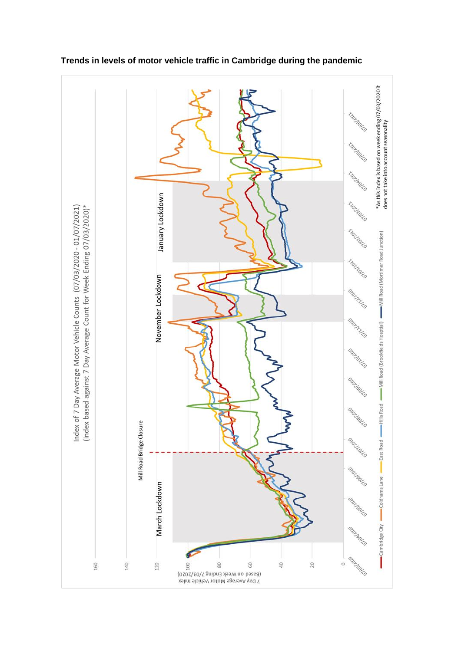

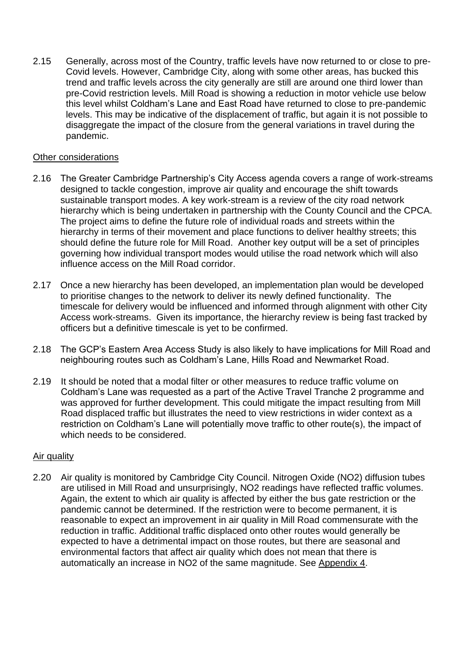2.15 Generally, across most of the Country, traffic levels have now returned to or close to pre-Covid levels. However, Cambridge City, along with some other areas, has bucked this trend and traffic levels across the city generally are still are around one third lower than pre-Covid restriction levels. Mill Road is showing a reduction in motor vehicle use below this level whilst Coldham's Lane and East Road have returned to close to pre-pandemic levels. This may be indicative of the displacement of traffic, but again it is not possible to disaggregate the impact of the closure from the general variations in travel during the pandemic.

#### Other considerations

- 2.16 The Greater Cambridge Partnership's City Access agenda covers a range of work-streams designed to tackle congestion, improve air quality and encourage the shift towards sustainable transport modes. A key work-stream is a review of the city road network hierarchy which is being undertaken in partnership with the County Council and the CPCA. The project aims to define the future role of individual roads and streets within the hierarchy in terms of their movement and place functions to deliver healthy streets; this should define the future role for Mill Road. Another key output will be a set of principles governing how individual transport modes would utilise the road network which will also influence access on the Mill Road corridor.
- 2.17 Once a new hierarchy has been developed, an implementation plan would be developed to prioritise changes to the network to deliver its newly defined functionality. The timescale for delivery would be influenced and informed through alignment with other City Access work-streams. Given its importance, the hierarchy review is being fast tracked by officers but a definitive timescale is yet to be confirmed.
- 2.18 The GCP's Eastern Area Access Study is also likely to have implications for Mill Road and neighbouring routes such as Coldham's Lane, Hills Road and Newmarket Road.
- 2.19 It should be noted that a modal filter or other measures to reduce traffic volume on Coldham's Lane was requested as a part of the Active Travel Tranche 2 programme and was approved for further development. This could mitigate the impact resulting from Mill Road displaced traffic but illustrates the need to view restrictions in wider context as a restriction on Coldham's Lane will potentially move traffic to other route(s), the impact of which needs to be considered.

#### Air quality

2.20 Air quality is monitored by Cambridge City Council. Nitrogen Oxide (NO2) diffusion tubes are utilised in Mill Road and unsurprisingly, NO2 readings have reflected traffic volumes. Again, the extent to which air quality is affected by either the bus gate restriction or the pandemic cannot be determined. If the restriction were to become permanent, it is reasonable to expect an improvement in air quality in Mill Road commensurate with the reduction in traffic. Additional traffic displaced onto other routes would generally be expected to have a detrimental impact on those routes, but there are seasonal and environmental factors that affect air quality which does not mean that there is automatically an increase in NO2 of the same magnitude. See Appendix 4.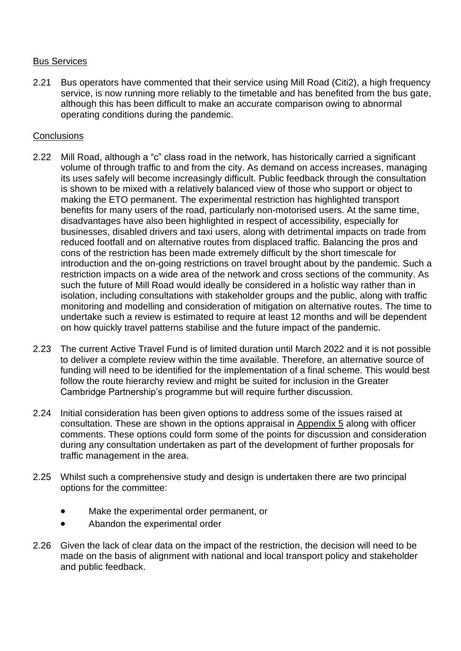#### Bus Services

2.21 Bus operators have commented that their service using Mill Road (Citi2), a high frequency service, is now running more reliably to the timetable and has benefited from the bus gate, although this has been difficult to make an accurate comparison owing to abnormal operating conditions during the pandemic.

#### **Conclusions**

- 2.22 Mill Road, although a "c" class road in the network, has historically carried a significant volume of through traffic to and from the city. As demand on access increases, managing its uses safely will become increasingly difficult. Public feedback through the consultation is shown to be mixed with a relatively balanced view of those who support or object to making the ETO permanent. The experimental restriction has highlighted transport benefits for many users of the road, particularly non-motorised users. At the same time, disadvantages have also been highlighted in respect of accessibility, especially for businesses, disabled drivers and taxi users, along with detrimental impacts on trade from reduced footfall and on alternative routes from displaced traffic. Balancing the pros and cons of the restriction has been made extremely difficult by the short timescale for introduction and the on-going restrictions on travel brought about by the pandemic. Such a restriction impacts on a wide area of the network and cross sections of the community. As such the future of Mill Road would ideally be considered in a holistic way rather than in isolation, including consultations with stakeholder groups and the public, along with traffic monitoring and modelling and consideration of mitigation on alternative routes. The time to undertake such a review is estimated to require at least 12 months and will be dependent on how quickly travel patterns stabilise and the future impact of the pandemic.
- 2.23 The current Active Travel Fund is of limited duration until March 2022 and it is not possible to deliver a complete review within the time available. Therefore, an alternative source of funding will need to be identified for the implementation of a final scheme. This would best follow the route hierarchy review and might be suited for inclusion in the Greater Cambridge Partnership's programme but will require further discussion.
- 2.24 Initial consideration has been given options to address some of the issues raised at consultation. These are shown in the options appraisal in Appendix 5 along with officer comments. These options could form some of the points for discussion and consideration during any consultation undertaken as part of the development of further proposals for traffic management in the area.
- 2.25 Whilst such a comprehensive study and design is undertaken there are two principal options for the committee:
	- Make the experimental order permanent, or
	- Abandon the experimental order
- 2.26 Given the lack of clear data on the impact of the restriction, the decision will need to be made on the basis of alignment with national and local transport policy and stakeholder and public feedback.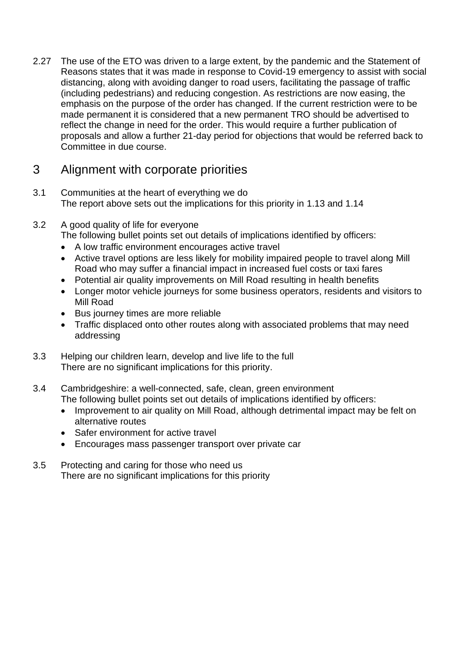2.27 The use of the ETO was driven to a large extent, by the pandemic and the Statement of Reasons states that it was made in response to Covid-19 emergency to assist with social distancing, along with avoiding danger to road users, facilitating the passage of traffic (including pedestrians) and reducing congestion. As restrictions are now easing, the emphasis on the purpose of the order has changed. If the current restriction were to be made permanent it is considered that a new permanent TRO should be advertised to reflect the change in need for the order. This would require a further publication of proposals and allow a further 21-day period for objections that would be referred back to Committee in due course.

# 3 Alignment with corporate priorities

- 3.1 Communities at the heart of everything we do The report above sets out the implications for this priority in 1.13 and 1.14
- 3.2 A good quality of life for everyone The following bullet points set out details of implications identified by officers:
	- A low traffic environment encourages active travel
	- Active travel options are less likely for mobility impaired people to travel along Mill Road who may suffer a financial impact in increased fuel costs or taxi fares
	- Potential air quality improvements on Mill Road resulting in health benefits
	- Longer motor vehicle journeys for some business operators, residents and visitors to Mill Road
	- Bus journey times are more reliable
	- Traffic displaced onto other routes along with associated problems that may need addressing
- 3.3 Helping our children learn, develop and live life to the full There are no significant implications for this priority.
- 3.4 Cambridgeshire: a well-connected, safe, clean, green environment The following bullet points set out details of implications identified by officers:
	- Improvement to air quality on Mill Road, although detrimental impact may be felt on alternative routes
	- Safer environment for active travel
	- Encourages mass passenger transport over private car
- 3.5 Protecting and caring for those who need us There are no significant implications for this priority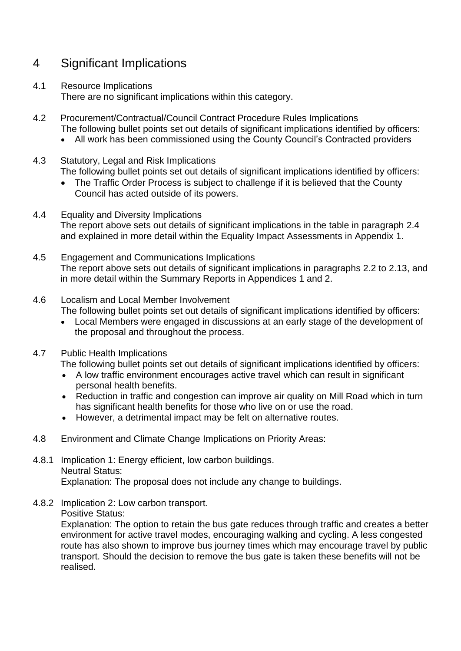# 4 Significant Implications

- 4.1 Resource Implications There are no significant implications within this category.
- 4.2 Procurement/Contractual/Council Contract Procedure Rules Implications The following bullet points set out details of significant implications identified by officers:
	- All work has been commissioned using the County Council's Contracted providers
- 4.3 Statutory, Legal and Risk Implications The following bullet points set out details of significant implications identified by officers:
	- The Traffic Order Process is subject to challenge if it is believed that the County Council has acted outside of its powers.
- 4.4 Equality and Diversity Implications The report above sets out details of significant implications in the table in paragraph 2.4 and explained in more detail within the Equality Impact Assessments in Appendix 1.
- 4.5 Engagement and Communications Implications The report above sets out details of significant implications in paragraphs 2.2 to 2.13, and in more detail within the Summary Reports in Appendices 1 and 2.
- 4.6 Localism and Local Member Involvement
	- The following bullet points set out details of significant implications identified by officers:
	- Local Members were engaged in discussions at an early stage of the development of the proposal and throughout the process.
- 4.7 Public Health Implications

The following bullet points set out details of significant implications identified by officers:

- A low traffic environment encourages active travel which can result in significant personal health benefits.
- Reduction in traffic and congestion can improve air quality on Mill Road which in turn has significant health benefits for those who live on or use the road.
- However, a detrimental impact may be felt on alternative routes.
- 4.8 Environment and Climate Change Implications on Priority Areas:
- 4.8.1 Implication 1: Energy efficient, low carbon buildings. Neutral Status: Explanation: The proposal does not include any change to buildings.
- 4.8.2 Implication 2: Low carbon transport.

Positive Status:

Explanation: The option to retain the bus gate reduces through traffic and creates a better environment for active travel modes, encouraging walking and cycling. A less congested route has also shown to improve bus journey times which may encourage travel by public transport. Should the decision to remove the bus gate is taken these benefits will not be realised.